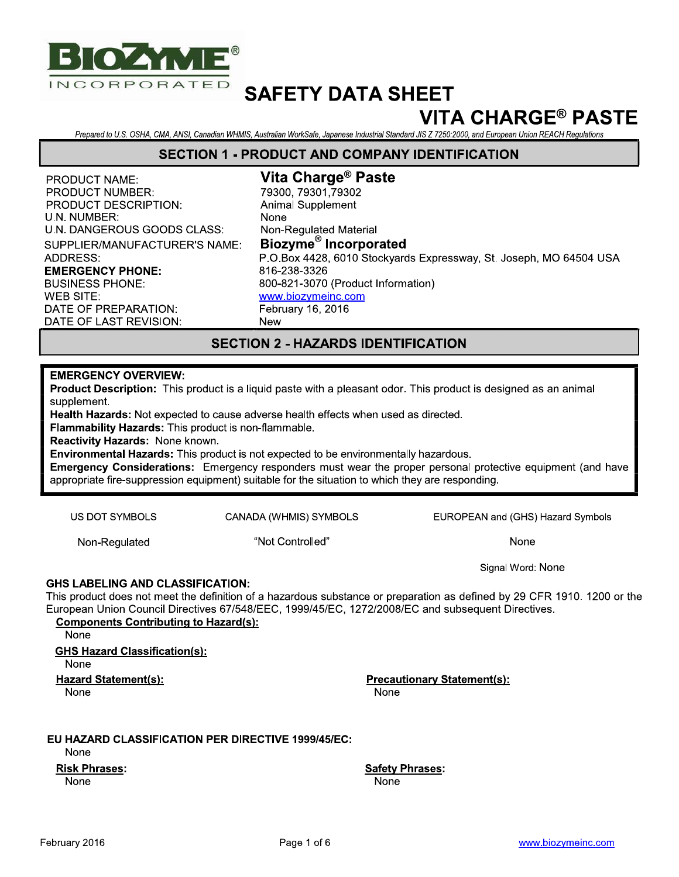

## **VITA CHARGE® PASTE**

Prepared to U.S. OSHA, CMA, ANSI, Canadian WHMIS, Australian WorkSafe, Japanese Industrial Standard JIS Z 7250:2000, and European Union REACH Regulations

#### **SECTION 1 - PRODUCT AND COMPANY IDENTIFICATION**

**PRODUCT NAME: PRODUCT NUMBER: PRODUCT DESCRIPTION:** U.N. NUMBER: U.N. DANGEROUS GOODS CLASS: SUPPLIER/MANUFACTURER'S NAME: ADDRESS: **EMERGENCY PHONE: BUSINESS PHONE: WEB SITE:** DATE OF PREPARATION: DATE OF LAST REVISION:

Vita Charge<sup>®</sup> Paste 79300.79301.79302 **Animal Supplement** None Non-Regulated Material Biozyme<sup>®</sup> Incorporated P.O.Box 4428, 6010 Stockvards Expressway, St. Joseph, MO 64504 USA 816-238-3326 800-821-3070 (Product Information) www.biozymeinc.com February 16, 2016 **New** 

## **SECTION 2 - HAZARDS IDENTIFICATION**

#### **EMERGENCY OVERVIEW:**

Product Description: This product is a liquid paste with a pleasant odor. This product is designed as an animal supplement.

Health Hazards: Not expected to cause adverse health effects when used as directed.

Flammability Hazards: This product is non-flammable.

Reactivity Hazards: None known.

Environmental Hazards: This product is not expected to be environmentally hazardous.

**Emergency Considerations:** Emergency responders must wear the proper personal protective equipment (and have appropriate fire-suppression equipment) suitable for the situation to which they are responding.

**US DOT SYMBOLS** 

CANADA (WHMIS) SYMBOLS

Non-Regulated

"Not Controlled"

EUROPEAN and (GHS) Hazard Symbols

None

Signal Word: None

#### **GHS LABELING AND CLASSIFICATION:**

This product does not meet the definition of a hazardous substance or preparation as defined by 29 CFR 1910. 1200 or the European Union Council Directives 67/548/EEC, 1999/45/EC, 1272/2008/EC and subsequent Directives.

**Components Contributing to Hazard(s):** None **GHS Hazard Classification(s):** 

None

**Hazard Statement(s):** 

None

**Precautionary Statement(s):** None

#### EU HAZARD CLASSIFICATION PER DIRECTIVE 1999/45/EC:

**None** 

**Risk Phrases:** 

**None** 

**Safety Phrases:** None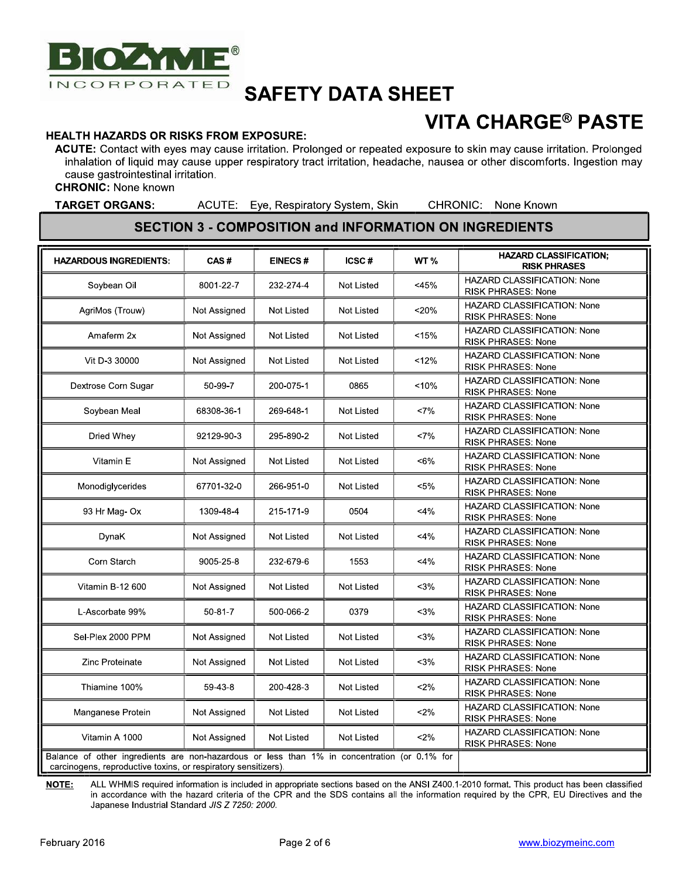

# **VITA CHARGE<sup>®</sup> PASTE**

#### **HEALTH HAZARDS OR RISKS FROM EXPOSURE:**

ACUTE: Contact with eyes may cause irritation. Prolonged or repeated exposure to skin may cause irritation. Prolonged inhalation of liquid may cause upper respiratory tract irritation, headache, nausea or other discomforts. Ingestion may cause gastrointestinal irritation.

**CHRONIC: None known** 

**TARGET ORGANS:** 

ACUTE: Eye, Respiratory System, Skin

CHRONIC: None Known

#### **SECTION 3 - COMPOSITION and INFORMATION ON INGREDIENTS**

| <b>HAZARDOUS INGREDIENTS:</b>                                                                                                                                  | CAS#          | <b>EINECS#</b>    | ICSC#             | WT <sub>%</sub> | <b>HAZARD CLASSIFICATION:</b><br><b>RISK PHRASES</b>            |
|----------------------------------------------------------------------------------------------------------------------------------------------------------------|---------------|-------------------|-------------------|-----------------|-----------------------------------------------------------------|
| Soybean Oil                                                                                                                                                    | 8001-22-7     | 232-274-4         | <b>Not Listed</b> | $<$ 45%         | <b>HAZARD CLASSIFICATION: None</b><br><b>RISK PHRASES: None</b> |
| AgriMos (Trouw)                                                                                                                                                | Not Assigned  | <b>Not Listed</b> | <b>Not Listed</b> | $20%$           | <b>HAZARD CLASSIFICATION: None</b><br><b>RISK PHRASES: None</b> |
| Amaferm 2x                                                                                                                                                     | Not Assigned  | <b>Not Listed</b> | <b>Not Listed</b> | < 15%           | <b>HAZARD CLASSIFICATION: None</b><br><b>RISK PHRASES: None</b> |
| Vit D-3 30000                                                                                                                                                  | Not Assigned  | <b>Not Listed</b> | <b>Not Listed</b> | 12%             | <b>HAZARD CLASSIFICATION: None</b><br>RISK PHRASES: None        |
| Dextrose Corn Sugar                                                                                                                                            | 50-99-7       | 200-075-1         | 0865              | < 10%           | HAZARD CLASSIFICATION: None<br>RISK PHRASES: None               |
| Soybean Meal                                                                                                                                                   | 68308-36-1    | 269-648-1         | <b>Not Listed</b> | <7%             | <b>HAZARD CLASSIFICATION: None</b><br><b>RISK PHRASES: None</b> |
| Dried Whey                                                                                                                                                     | 92129-90-3    | 295-890-2         | <b>Not Listed</b> | <7%             | <b>HAZARD CLASSIFICATION: None</b><br>RISK PHRASES: None        |
| Vitamin E                                                                                                                                                      | Not Assigned  | <b>Not Listed</b> | <b>Not Listed</b> | $< 6\%$         | HAZARD CLASSIFICATION: None<br><b>RISK PHRASES: None</b>        |
| Monodiglycerides                                                                                                                                               | 67701-32-0    | 266-951-0         | <b>Not Listed</b> | $< 5\%$         | <b>HAZARD CLASSIFICATION: None</b><br>RISK PHRASES: None        |
| 93 Hr Mag- Ox                                                                                                                                                  | 1309-48-4     | 215-171-9         | 0504              | $<$ 4%          | HAZARD CLASSIFICATION: None<br>RISK PHRASES: None               |
| DynaK                                                                                                                                                          | Not Assigned  | <b>Not Listed</b> | <b>Not Listed</b> | $<$ 4%          | <b>HAZARD CLASSIFICATION: None</b><br><b>RISK PHRASES: None</b> |
| Corn Starch                                                                                                                                                    | 9005-25-8     | 232-679-6         | 1553              | $<$ 4%          | <b>HAZARD CLASSIFICATION: None</b><br><b>RISK PHRASES: None</b> |
| <b>Vitamin B-12 600</b>                                                                                                                                        | Not Assigned  | <b>Not Listed</b> | <b>Not Listed</b> | $<$ 3%          | HAZARD CLASSIFICATION: None<br><b>RISK PHRASES: None</b>        |
| L-Ascorbate 99%                                                                                                                                                | $50 - 81 - 7$ | 500-066-2         | 0379              | $3%$            | <b>HAZARD CLASSIFICATION: None</b><br><b>RISK PHRASES: None</b> |
| Sel-Plex 2000 PPM                                                                                                                                              | Not Assigned  | <b>Not Listed</b> | <b>Not Listed</b> | $<$ 3%          | <b>HAZARD CLASSIFICATION: None</b><br><b>RISK PHRASES: None</b> |
| Zinc Proteinate                                                                                                                                                | Not Assigned  | <b>Not Listed</b> | <b>Not Listed</b> | $3%$            | HAZARD CLASSIFICATION: None<br><b>RISK PHRASES: None</b>        |
| Thiamine 100%                                                                                                                                                  | 59-43-8       | 200-428-3         | Not Listed        | $2\%$           | <b>HAZARD CLASSIFICATION: None</b><br><b>RISK PHRASES: None</b> |
| Manganese Protein                                                                                                                                              | Not Assigned  | <b>Not Listed</b> | <b>Not Listed</b> | $2\%$           | HAZARD CLASSIFICATION: None<br>RISK PHRASES: None               |
| Vitamin A 1000                                                                                                                                                 | Not Assigned  | <b>Not Listed</b> | <b>Not Listed</b> | $2\%$           | <b>HAZARD CLASSIFICATION: None</b><br><b>RISK PHRASES: None</b> |
| Balance of other ingredients are non-hazardous or less than 1% in concentration (or 0.1% for<br>carcinogens, reproductive toxins, or respiratory sensitizers). |               |                   |                   |                 |                                                                 |

NOTE: ALL WHMIS required information is included in appropriate sections based on the ANSI Z400.1-2010 format. This product has been classified in accordance with the hazard criteria of the CPR and the SDS contains all the information required by the CPR, EU Directives and the Japanese Industrial Standard JIS Z 7250: 2000.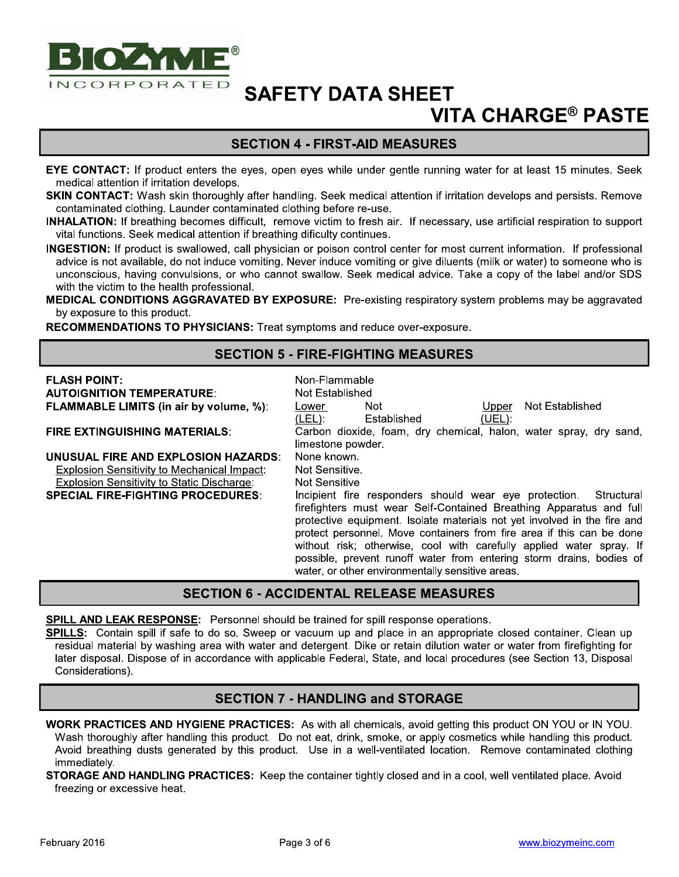

## **VITA CHARGE® PASTE**

## **SECTION 4 - FIRST-AID MEASURES**

EYE CONTACT: If product enters the eyes, open eyes while under gentle running water for at least 15 minutes. Seek medical attention if irritation develops.

SKIN CONTACT: Wash skin thoroughly after handling. Seek medical attention if irritation develops and persists. Remove contaminated clothing. Launder contaminated clothing before re-use.

**INHALATION:** If breathing becomes difficult, remove victim to fresh air. If necessary, use artificial respiration to support vital functions. Seek medical attention if breathing dificulty continues.

INGESTION: If product is swallowed, call physician or poison control center for most current information. If professional advice is not available, do not induce vomiting. Never induce vomiting or give diluents (milk or water) to someone who is unconscious, having convulsions, or who cannot swallow. Seek medical advice. Take a copy of the label and/or SDS with the victim to the health professional.

MEDICAL CONDITIONS AGGRAVATED BY EXPOSURE: Pre-existing respiratory system problems may be aggravated by exposure to this product.

RECOMMENDATIONS TO PHYSICIANS: Treat symptoms and reduce over-exposure.

### **SECTION 5 - FIRE-FIGHTING MEASURES**

| <b>FLASH POINT:</b><br><b>AUTOIGNITION TEMPERATURE:</b>                                   | Non-Flammable<br>Not Established                                                                                                                                                                                                                                                                                                                                                                                                                                                                   |
|-------------------------------------------------------------------------------------------|----------------------------------------------------------------------------------------------------------------------------------------------------------------------------------------------------------------------------------------------------------------------------------------------------------------------------------------------------------------------------------------------------------------------------------------------------------------------------------------------------|
| <b>FLAMMABLE LIMITS (in air by volume, %):</b>                                            | <b>Not</b><br>Not Established<br><b>Upper</b><br>Lower                                                                                                                                                                                                                                                                                                                                                                                                                                             |
| <b>FIRE EXTINGUISHING MATERIALS:</b>                                                      | $(LEL)$ :<br>Established<br>(UEL):<br>Carbon dioxide, foam, dry chemical, halon, water spray, dry sand,<br>limestone powder.                                                                                                                                                                                                                                                                                                                                                                       |
| UNUSUAL FIRE AND EXPLOSION HAZARDS:                                                       | None known.                                                                                                                                                                                                                                                                                                                                                                                                                                                                                        |
| Explosion Sensitivity to Mechanical Impact:<br>Explosion Sensitivity to Static Discharge: | Not Sensitive.<br><b>Not Sensitive</b>                                                                                                                                                                                                                                                                                                                                                                                                                                                             |
| <b>SPECIAL FIRE-FIGHTING PROCEDURES:</b>                                                  | Incipient fire responders should wear eye protection.<br>Structural<br>firefighters must wear Self-Contained Breathing Apparatus and full<br>protective equipment. Isolate materials not yet involved in the fire and<br>protect personnel. Move containers from fire area if this can be done<br>without risk; otherwise, cool with carefully applied water spray. If<br>possible, prevent runoff water from entering storm drains, bodies of<br>water, or other environmentally sensitive areas. |

### **SECTION 6 - ACCIDENTAL RELEASE MEASURES**

SPILL AND LEAK RESPONSE: Personnel should be trained for spill response operations.

SPILLS: Contain spill if safe to do so. Sweep or vacuum up and place in an appropriate closed container. Clean up residual material by washing area with water and detergent. Dike or retain dilution water or water from firefighting for later disposal. Dispose of in accordance with applicable Federal, State, and local procedures (see Section 13, Disposal Considerations).

## **SECTION 7 - HANDLING and STORAGE**

**WORK PRACTICES AND HYGIENE PRACTICES:** As with all chemicals, avoid getting this product ON YOU or IN YOU. Wash thoroughly after handling this product. Do not eat, drink, smoke, or apply cosmetics while handling this product. Avoid breathing dusts generated by this product. Use in a well-ventilated location. Remove contaminated clothing immediately.

**STORAGE AND HANDLING PRACTICES:** Keep the container tightly closed and in a cool, well ventilated place. Avoid freezing or excessive heat.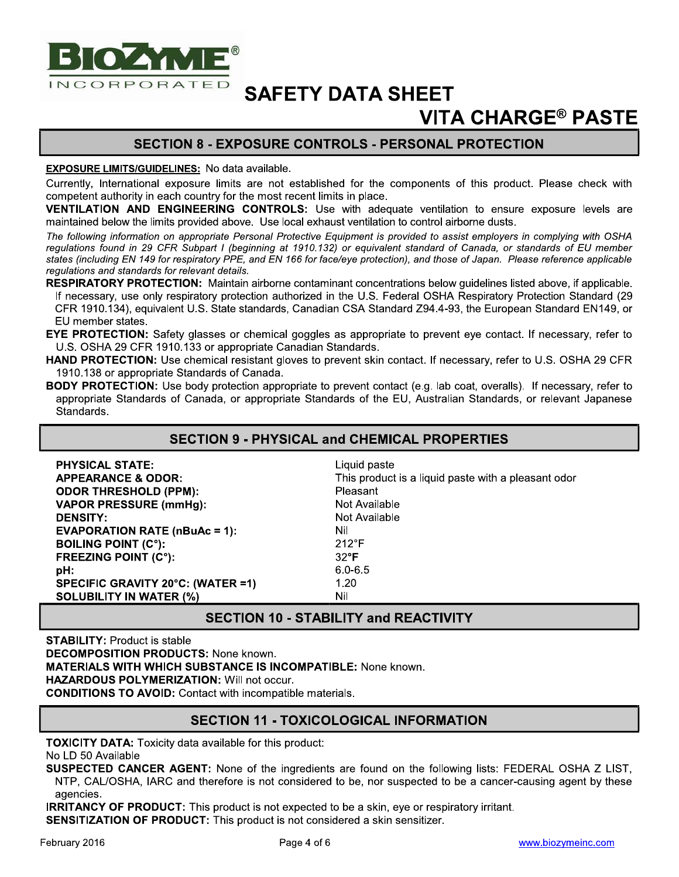

## **VITA CHARGE® PASTE**

## **SECTION 8 - EXPOSURE CONTROLS - PERSONAL PROTECTION**

#### **EXPOSURE LIMITS/GUIDELINES:** No data available.

Currently, International exposure limits are not established for the components of this product. Please check with competent authority in each country for the most recent limits in place.

VENTILATION AND ENGINEERING CONTROLS: Use with adequate ventilation to ensure exposure levels are maintained below the limits provided above. Use local exhaust ventilation to control airborne dusts.

The following information on appropriate Personal Protective Equipment is provided to assist employers in complying with OSHA regulations found in 29 CFR Subpart I (beginning at 1910.132) or equivalent standard of Canada, or standards of EU member states (including EN 149 for respiratory PPE, and EN 166 for face/eye protection), and those of Japan. Please reference applicable regulations and standards for relevant details.

RESPIRATORY PROTECTION: Maintain airborne contaminant concentrations below quidelines listed above, if applicable. If necessary, use only respiratory protection authorized in the U.S. Federal OSHA Respiratory Protection Standard (29 CFR 1910.134), equivalent U.S. State standards, Canadian CSA Standard Z94.4-93, the European Standard EN149, or EU member states.

EYE PROTECTION: Safety glasses or chemical goggles as appropriate to prevent eye contact. If necessary, refer to U.S. OSHA 29 CFR 1910.133 or appropriate Canadian Standards.

HAND PROTECTION: Use chemical resistant gloves to prevent skin contact. If necessary, refer to U.S. OSHA 29 CFR 1910.138 or appropriate Standards of Canada.

BODY PROTECTION: Use body protection appropriate to prevent contact (e.g. lab coat, overalls). If necessary, refer to appropriate Standards of Canada, or appropriate Standards of the EU, Australian Standards, or relevant Japanese Standards.

### **SECTION 9 - PHYSICAL and CHEMICAL PROPERTIES**

| <b>PHYSICAL STATE:</b>                            | Liquid paste                                        |
|---------------------------------------------------|-----------------------------------------------------|
| <b>APPEARANCE &amp; ODOR:</b>                     | This product is a liquid paste with a pleasant odor |
| <b>ODOR THRESHOLD (PPM):</b>                      | <b>Pleasant</b>                                     |
| <b>VAPOR PRESSURE (mmHg):</b>                     | Not Available                                       |
| <b>DENSITY:</b>                                   | Not Available                                       |
| <b>EVAPORATION RATE (<math>nBuAc = 1</math>):</b> | Nil                                                 |
| <b>BOILING POINT (C°):</b>                        | $212^{\circ}F$                                      |
| <b>FREEZING POINT (C°):</b>                       | $32^{\circ}F$                                       |
| pH:                                               | $6.0 - 6.5$                                         |
| SPECIFIC GRAVITY 20°C: (WATER =1)                 | 1.20                                                |
| <b>SOLUBILITY IN WATER (%)</b>                    | Nil                                                 |

## **SECTION 10 - STABILITY and REACTIVITY**

**STABILITY: Product is stable DECOMPOSITION PRODUCTS: None known. MATERIALS WITH WHICH SUBSTANCE IS INCOMPATIBLE: None known. HAZARDOUS POLYMERIZATION: Will not occur. CONDITIONS TO AVOID:** Contact with incompatible materials.

### **SECTION 11 - TOXICOLOGICAL INFORMATION**

**TOXICITY DATA:** Toxicity data available for this product:

No LD 50 Available

SUSPECTED CANCER AGENT: None of the ingredients are found on the following lists: FEDERAL OSHA Z LIST, NTP, CAL/OSHA, IARC and therefore is not considered to be, nor suspected to be a cancer-causing agent by these agencies.

**IRRITANCY OF PRODUCT:** This product is not expected to be a skin, eye or respiratory irritant. **SENSITIZATION OF PRODUCT:** This product is not considered a skin sensitizer.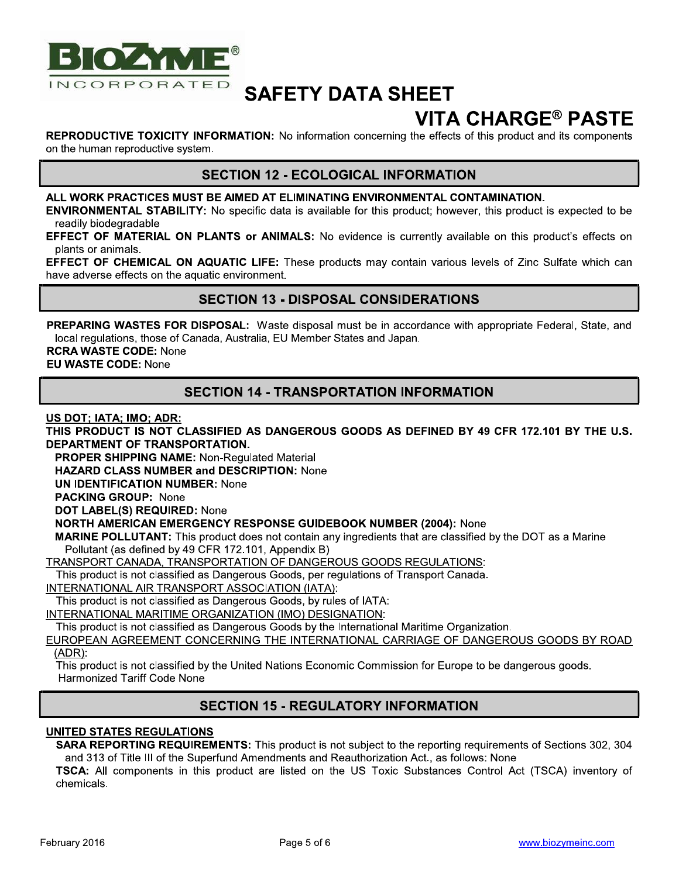

## **VITA CHARGE® PASTE**

**REPRODUCTIVE TOXICITY INFORMATION:** No information concerning the effects of this product and its components on the human reproductive system.

### **SECTION 12 - ECOLOGICAL INFORMATION**

#### ALL WORK PRACTICES MUST BE AIMED AT ELIMINATING ENVIRONMENTAL CONTAMINATION.

**ENVIRONMENTAL STABILITY:** No specific data is available for this product; however, this product is expected to be readily biodegradable

EFFECT OF MATERIAL ON PLANTS or ANIMALS: No evidence is currently available on this product's effects on plants or animals.

EFFECT OF CHEMICAL ON AQUATIC LIFE: These products may contain various levels of Zinc Sulfate which can have adverse effects on the aquatic environment.

#### **SECTION 13 - DISPOSAL CONSIDERATIONS**

PREPARING WASTES FOR DISPOSAL: Waste disposal must be in accordance with appropriate Federal, State, and local regulations, those of Canada, Australia, EU Member States and Japan.

**RCRA WASTE CODE: None EU WASTE CODE: None** 

### **SECTION 14 - TRANSPORTATION INFORMATION**

US DOT: IATA: IMO: ADR:

THIS PRODUCT IS NOT CLASSIFIED AS DANGEROUS GOODS AS DEFINED BY 49 CFR 172.101 BY THE U.S. DEPARTMENT OF TRANSPORTATION.

**PROPER SHIPPING NAME: Non-Regulated Material** 

**HAZARD CLASS NUMBER and DESCRIPTION: None** 

**UN IDENTIFICATION NUMBER: None** 

**PACKING GROUP: None** 

DOT LABEL(S) REQUIRED: None

#### **NORTH AMERICAN EMERGENCY RESPONSE GUIDEBOOK NUMBER (2004): None**

MARINE POLLUTANT: This product does not contain any ingredients that are classified by the DOT as a Marine Pollutant (as defined by 49 CFR 172.101, Appendix B)

**TRANSPORT CANADA, TRANSPORTATION OF DANGEROUS GOODS REGULATIONS:** 

This product is not classified as Dangerous Goods, per regulations of Transport Canada.

INTERNATIONAL AIR TRANSPORT ASSOCIATION (IATA):

This product is not classified as Dangerous Goods, by rules of IATA:

INTERNATIONAL MARITIME ORGANIZATION (IMO) DESIGNATION:

This product is not classified as Dangerous Goods by the International Maritime Organization.

EUROPEAN AGREEMENT CONCERNING THE INTERNATIONAL CARRIAGE OF DANGEROUS GOODS BY ROAD  $(ADR):$ 

This product is not classified by the United Nations Economic Commission for Europe to be dangerous goods. Harmonized Tariff Code None

### **SECTION 15 - REGULATORY INFORMATION**

### **UNITED STATES REGULATIONS**

**SARA REPORTING REQUIREMENTS:** This product is not subject to the reporting requirements of Sections 302, 304 and 313 of Title III of the Superfund Amendments and Reauthorization Act., as follows: None

TSCA: All components in this product are listed on the US Toxic Substances Control Act (TSCA) inventory of chemicals.